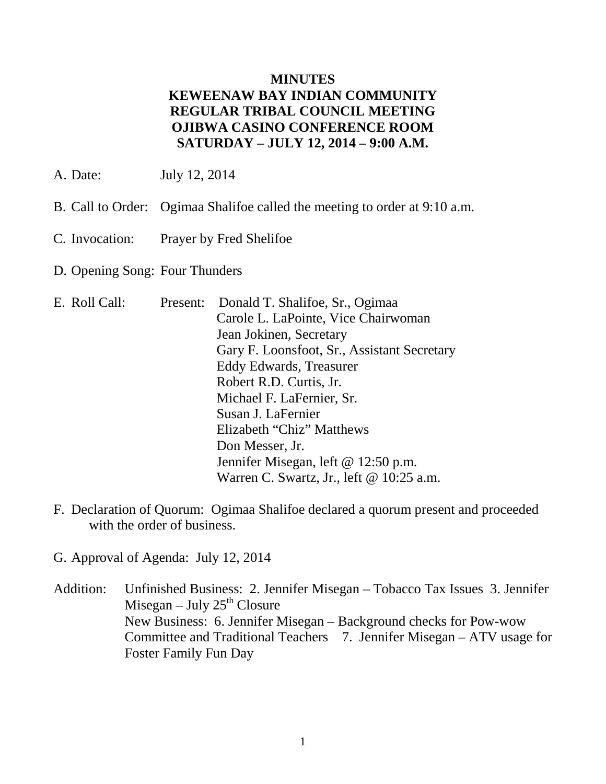### **MINUTES KEWEENAW BAY INDIAN COMMUNITY REGULAR TRIBAL COUNCIL MEETING OJIBWA CASINO CONFERENCE ROOM SATURDAY – JULY 12, 2014 – 9:00 A.M.**

- A. Date: July 12, 2014
- B. Call to Order: Ogimaa Shalifoe called the meeting to order at 9:10 a.m.
- C. Invocation: Prayer by Fred Shelifoe
- D. Opening Song: Four Thunders

| E. Roll Call: |  | Present: Donald T. Shalifoe, Sr., Ogimaa    |
|---------------|--|---------------------------------------------|
|               |  | Carole L. LaPointe, Vice Chairwoman         |
|               |  | Jean Jokinen, Secretary                     |
|               |  | Gary F. Loonsfoot, Sr., Assistant Secretary |
|               |  | Eddy Edwards, Treasurer                     |
|               |  | Robert R.D. Curtis, Jr.                     |
|               |  | Michael F. LaFernier, Sr.                   |
|               |  | Susan J. LaFernier                          |
|               |  | Elizabeth "Chiz" Matthews                   |
|               |  | Don Messer, Jr.                             |
|               |  | Jennifer Misegan, left @ 12:50 p.m.         |
|               |  | Warren C. Swartz, Jr., left $@ 10:25$ a.m.  |

- F. Declaration of Quorum: Ogimaa Shalifoe declared a quorum present and proceeded with the order of business.
- G. Approval of Agenda: July 12, 2014
- Addition: Unfinished Business: 2. Jennifer Misegan Tobacco Tax Issues 3. Jennifer Misegan – July  $25<sup>th</sup>$  Closure New Business: 6. Jennifer Misegan – Background checks for Pow-wow Committee and Traditional Teachers 7. Jennifer Misegan – ATV usage for Foster Family Fun Day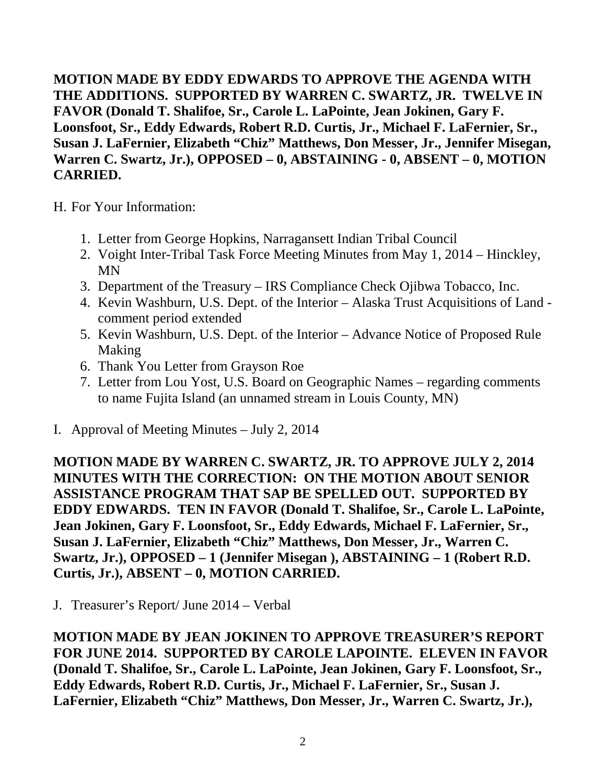**MOTION MADE BY EDDY EDWARDS TO APPROVE THE AGENDA WITH THE ADDITIONS. SUPPORTED BY WARREN C. SWARTZ, JR. TWELVE IN FAVOR (Donald T. Shalifoe, Sr., Carole L. LaPointe, Jean Jokinen, Gary F. Loonsfoot, Sr., Eddy Edwards, Robert R.D. Curtis, Jr., Michael F. LaFernier, Sr., Susan J. LaFernier, Elizabeth "Chiz" Matthews, Don Messer, Jr., Jennifer Misegan, Warren C. Swartz, Jr.), OPPOSED – 0, ABSTAINING - 0, ABSENT – 0, MOTION CARRIED.**

H. For Your Information:

- 1. Letter from George Hopkins, Narragansett Indian Tribal Council
- 2. Voight Inter-Tribal Task Force Meeting Minutes from May 1, 2014 Hinckley, MN
- 3. Department of the Treasury IRS Compliance Check Ojibwa Tobacco, Inc.
- 4. Kevin Washburn, U.S. Dept. of the Interior Alaska Trust Acquisitions of Land comment period extended
- 5. Kevin Washburn, U.S. Dept. of the Interior Advance Notice of Proposed Rule Making
- 6. Thank You Letter from Grayson Roe
- 7. Letter from Lou Yost, U.S. Board on Geographic Names regarding comments to name Fujita Island (an unnamed stream in Louis County, MN)
- I. Approval of Meeting Minutes July 2, 2014

**MOTION MADE BY WARREN C. SWARTZ, JR. TO APPROVE JULY 2, 2014 MINUTES WITH THE CORRECTION: ON THE MOTION ABOUT SENIOR ASSISTANCE PROGRAM THAT SAP BE SPELLED OUT. SUPPORTED BY EDDY EDWARDS. TEN IN FAVOR (Donald T. Shalifoe, Sr., Carole L. LaPointe, Jean Jokinen, Gary F. Loonsfoot, Sr., Eddy Edwards, Michael F. LaFernier, Sr., Susan J. LaFernier, Elizabeth "Chiz" Matthews, Don Messer, Jr., Warren C. Swartz, Jr.), OPPOSED – 1 (Jennifer Misegan ), ABSTAINING – 1 (Robert R.D. Curtis, Jr.), ABSENT – 0, MOTION CARRIED.**

J. Treasurer's Report/ June 2014 – Verbal

**MOTION MADE BY JEAN JOKINEN TO APPROVE TREASURER'S REPORT FOR JUNE 2014. SUPPORTED BY CAROLE LAPOINTE. ELEVEN IN FAVOR (Donald T. Shalifoe, Sr., Carole L. LaPointe, Jean Jokinen, Gary F. Loonsfoot, Sr., Eddy Edwards, Robert R.D. Curtis, Jr., Michael F. LaFernier, Sr., Susan J. LaFernier, Elizabeth "Chiz" Matthews, Don Messer, Jr., Warren C. Swartz, Jr.),**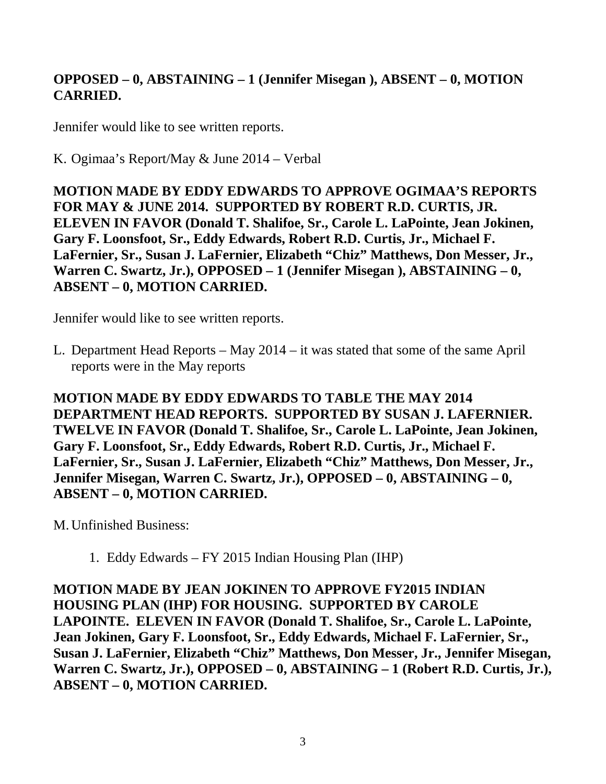# **OPPOSED – 0, ABSTAINING – 1 (Jennifer Misegan ), ABSENT – 0, MOTION CARRIED.**

Jennifer would like to see written reports.

K. Ogimaa's Report/May & June 2014 – Verbal

**MOTION MADE BY EDDY EDWARDS TO APPROVE OGIMAA'S REPORTS FOR MAY & JUNE 2014. SUPPORTED BY ROBERT R.D. CURTIS, JR. ELEVEN IN FAVOR (Donald T. Shalifoe, Sr., Carole L. LaPointe, Jean Jokinen, Gary F. Loonsfoot, Sr., Eddy Edwards, Robert R.D. Curtis, Jr., Michael F. LaFernier, Sr., Susan J. LaFernier, Elizabeth "Chiz" Matthews, Don Messer, Jr.,**  Warren C. Swartz, Jr.), OPPOSED - 1 (Jennifer Misegan ), ABSTAINING - 0, **ABSENT – 0, MOTION CARRIED.**

Jennifer would like to see written reports.

L. Department Head Reports – May 2014 – it was stated that some of the same April reports were in the May reports

**MOTION MADE BY EDDY EDWARDS TO TABLE THE MAY 2014 DEPARTMENT HEAD REPORTS. SUPPORTED BY SUSAN J. LAFERNIER. TWELVE IN FAVOR (Donald T. Shalifoe, Sr., Carole L. LaPointe, Jean Jokinen, Gary F. Loonsfoot, Sr., Eddy Edwards, Robert R.D. Curtis, Jr., Michael F. LaFernier, Sr., Susan J. LaFernier, Elizabeth "Chiz" Matthews, Don Messer, Jr., Jennifer Misegan, Warren C. Swartz, Jr.), OPPOSED – 0, ABSTAINING – 0, ABSENT – 0, MOTION CARRIED.**

M.Unfinished Business:

1. Eddy Edwards – FY 2015 Indian Housing Plan (IHP)

**MOTION MADE BY JEAN JOKINEN TO APPROVE FY2015 INDIAN HOUSING PLAN (IHP) FOR HOUSING. SUPPORTED BY CAROLE LAPOINTE. ELEVEN IN FAVOR (Donald T. Shalifoe, Sr., Carole L. LaPointe, Jean Jokinen, Gary F. Loonsfoot, Sr., Eddy Edwards, Michael F. LaFernier, Sr., Susan J. LaFernier, Elizabeth "Chiz" Matthews, Don Messer, Jr., Jennifer Misegan,**  Warren C. Swartz, Jr.), OPPOSED – 0, ABSTAINING – 1 (Robert R.D. Curtis, Jr.), **ABSENT – 0, MOTION CARRIED.**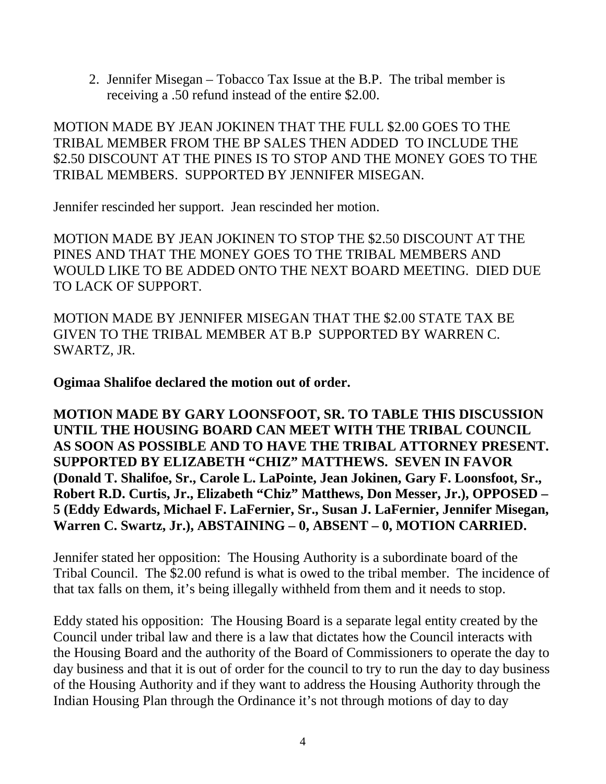2. Jennifer Misegan – Tobacco Tax Issue at the B.P. The tribal member is receiving a .50 refund instead of the entire \$2.00.

MOTION MADE BY JEAN JOKINEN THAT THE FULL \$2.00 GOES TO THE TRIBAL MEMBER FROM THE BP SALES THEN ADDED TO INCLUDE THE \$2.50 DISCOUNT AT THE PINES IS TO STOP AND THE MONEY GOES TO THE TRIBAL MEMBERS. SUPPORTED BY JENNIFER MISEGAN.

Jennifer rescinded her support. Jean rescinded her motion.

MOTION MADE BY JEAN JOKINEN TO STOP THE \$2.50 DISCOUNT AT THE PINES AND THAT THE MONEY GOES TO THE TRIBAL MEMBERS AND WOULD LIKE TO BE ADDED ONTO THE NEXT BOARD MEETING. DIED DUE TO LACK OF SUPPORT.

MOTION MADE BY JENNIFER MISEGAN THAT THE \$2.00 STATE TAX BE GIVEN TO THE TRIBAL MEMBER AT B.P SUPPORTED BY WARREN C. SWARTZ, JR.

**Ogimaa Shalifoe declared the motion out of order.**

**MOTION MADE BY GARY LOONSFOOT, SR. TO TABLE THIS DISCUSSION UNTIL THE HOUSING BOARD CAN MEET WITH THE TRIBAL COUNCIL AS SOON AS POSSIBLE AND TO HAVE THE TRIBAL ATTORNEY PRESENT. SUPPORTED BY ELIZABETH "CHIZ" MATTHEWS. SEVEN IN FAVOR (Donald T. Shalifoe, Sr., Carole L. LaPointe, Jean Jokinen, Gary F. Loonsfoot, Sr., Robert R.D. Curtis, Jr., Elizabeth "Chiz" Matthews, Don Messer, Jr.), OPPOSED – 5 (Eddy Edwards, Michael F. LaFernier, Sr., Susan J. LaFernier, Jennifer Misegan, Warren C. Swartz, Jr.), ABSTAINING – 0, ABSENT – 0, MOTION CARRIED.**

Jennifer stated her opposition: The Housing Authority is a subordinate board of the Tribal Council. The \$2.00 refund is what is owed to the tribal member. The incidence of that tax falls on them, it's being illegally withheld from them and it needs to stop.

Eddy stated his opposition: The Housing Board is a separate legal entity created by the Council under tribal law and there is a law that dictates how the Council interacts with the Housing Board and the authority of the Board of Commissioners to operate the day to day business and that it is out of order for the council to try to run the day to day business of the Housing Authority and if they want to address the Housing Authority through the Indian Housing Plan through the Ordinance it's not through motions of day to day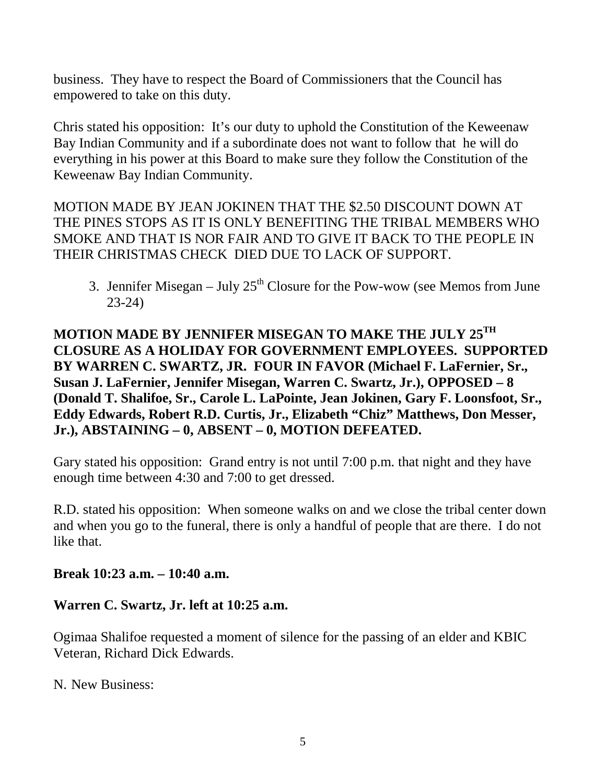business. They have to respect the Board of Commissioners that the Council has empowered to take on this duty.

Chris stated his opposition: It's our duty to uphold the Constitution of the Keweenaw Bay Indian Community and if a subordinate does not want to follow that he will do everything in his power at this Board to make sure they follow the Constitution of the Keweenaw Bay Indian Community.

MOTION MADE BY JEAN JOKINEN THAT THE \$2.50 DISCOUNT DOWN AT THE PINES STOPS AS IT IS ONLY BENEFITING THE TRIBAL MEMBERS WHO SMOKE AND THAT IS NOR FAIR AND TO GIVE IT BACK TO THE PEOPLE IN THEIR CHRISTMAS CHECK DIED DUE TO LACK OF SUPPORT.

3. Jennifer Misegan – July  $25<sup>th</sup>$  Closure for the Pow-wow (see Memos from June 23-24)

**MOTION MADE BY JENNIFER MISEGAN TO MAKE THE JULY 25TH CLOSURE AS A HOLIDAY FOR GOVERNMENT EMPLOYEES. SUPPORTED BY WARREN C. SWARTZ, JR. FOUR IN FAVOR (Michael F. LaFernier, Sr., Susan J. LaFernier, Jennifer Misegan, Warren C. Swartz, Jr.), OPPOSED – 8 (Donald T. Shalifoe, Sr., Carole L. LaPointe, Jean Jokinen, Gary F. Loonsfoot, Sr., Eddy Edwards, Robert R.D. Curtis, Jr., Elizabeth "Chiz" Matthews, Don Messer, Jr.), ABSTAINING – 0, ABSENT – 0, MOTION DEFEATED.** 

Gary stated his opposition: Grand entry is not until 7:00 p.m. that night and they have enough time between 4:30 and 7:00 to get dressed.

R.D. stated his opposition: When someone walks on and we close the tribal center down and when you go to the funeral, there is only a handful of people that are there. I do not like that.

**Break 10:23 a.m. – 10:40 a.m.**

#### **Warren C. Swartz, Jr. left at 10:25 a.m.**

Ogimaa Shalifoe requested a moment of silence for the passing of an elder and KBIC Veteran, Richard Dick Edwards.

N. New Business: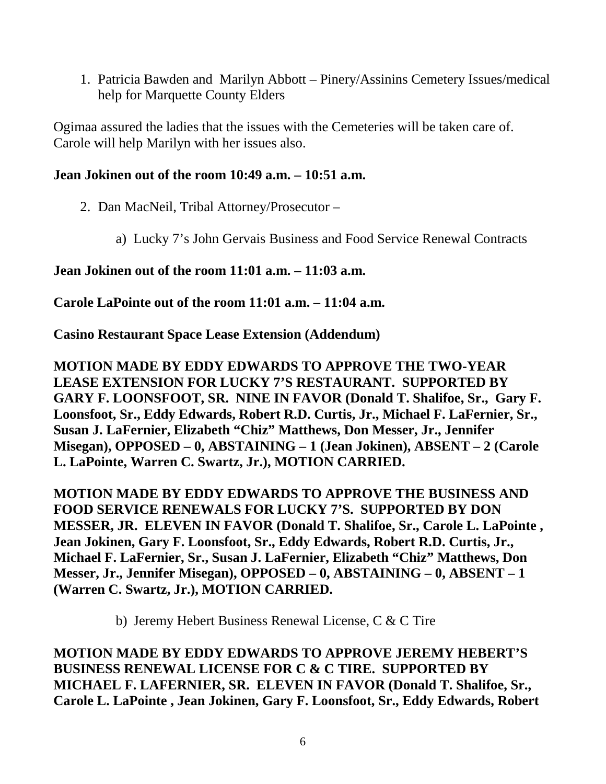1. Patricia Bawden and Marilyn Abbott – Pinery/Assinins Cemetery Issues/medical help for Marquette County Elders

Ogimaa assured the ladies that the issues with the Cemeteries will be taken care of. Carole will help Marilyn with her issues also.

### **Jean Jokinen out of the room 10:49 a.m. – 10:51 a.m.**

- 2. Dan MacNeil, Tribal Attorney/Prosecutor
	- a) Lucky 7's John Gervais Business and Food Service Renewal Contracts

## **Jean Jokinen out of the room 11:01 a.m. – 11:03 a.m.**

**Carole LaPointe out of the room 11:01 a.m. – 11:04 a.m.**

**Casino Restaurant Space Lease Extension (Addendum)**

**MOTION MADE BY EDDY EDWARDS TO APPROVE THE TWO-YEAR LEASE EXTENSION FOR LUCKY 7'S RESTAURANT. SUPPORTED BY GARY F. LOONSFOOT, SR. NINE IN FAVOR (Donald T. Shalifoe, Sr., Gary F. Loonsfoot, Sr., Eddy Edwards, Robert R.D. Curtis, Jr., Michael F. LaFernier, Sr., Susan J. LaFernier, Elizabeth "Chiz" Matthews, Don Messer, Jr., Jennifer Misegan), OPPOSED – 0, ABSTAINING – 1 (Jean Jokinen), ABSENT – 2 (Carole L. LaPointe, Warren C. Swartz, Jr.), MOTION CARRIED.**

**MOTION MADE BY EDDY EDWARDS TO APPROVE THE BUSINESS AND FOOD SERVICE RENEWALS FOR LUCKY 7'S. SUPPORTED BY DON MESSER, JR. ELEVEN IN FAVOR (Donald T. Shalifoe, Sr., Carole L. LaPointe , Jean Jokinen, Gary F. Loonsfoot, Sr., Eddy Edwards, Robert R.D. Curtis, Jr., Michael F. LaFernier, Sr., Susan J. LaFernier, Elizabeth "Chiz" Matthews, Don Messer, Jr., Jennifer Misegan), OPPOSED – 0, ABSTAINING – 0, ABSENT – 1 (Warren C. Swartz, Jr.), MOTION CARRIED.**

b) Jeremy Hebert Business Renewal License, C & C Tire

**MOTION MADE BY EDDY EDWARDS TO APPROVE JEREMY HEBERT'S BUSINESS RENEWAL LICENSE FOR C & C TIRE. SUPPORTED BY MICHAEL F. LAFERNIER, SR. ELEVEN IN FAVOR (Donald T. Shalifoe, Sr., Carole L. LaPointe , Jean Jokinen, Gary F. Loonsfoot, Sr., Eddy Edwards, Robert**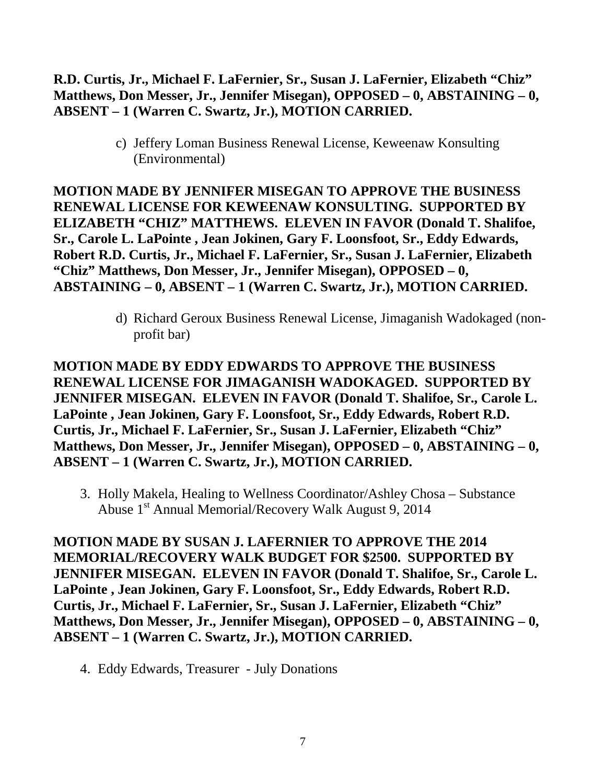### **R.D. Curtis, Jr., Michael F. LaFernier, Sr., Susan J. LaFernier, Elizabeth "Chiz" Matthews, Don Messer, Jr., Jennifer Misegan), OPPOSED – 0, ABSTAINING – 0, ABSENT – 1 (Warren C. Swartz, Jr.), MOTION CARRIED.**

c) Jeffery Loman Business Renewal License, Keweenaw Konsulting (Environmental)

**MOTION MADE BY JENNIFER MISEGAN TO APPROVE THE BUSINESS RENEWAL LICENSE FOR KEWEENAW KONSULTING. SUPPORTED BY ELIZABETH "CHIZ" MATTHEWS. ELEVEN IN FAVOR (Donald T. Shalifoe, Sr., Carole L. LaPointe , Jean Jokinen, Gary F. Loonsfoot, Sr., Eddy Edwards, Robert R.D. Curtis, Jr., Michael F. LaFernier, Sr., Susan J. LaFernier, Elizabeth "Chiz" Matthews, Don Messer, Jr., Jennifer Misegan), OPPOSED – 0, ABSTAINING – 0, ABSENT – 1 (Warren C. Swartz, Jr.), MOTION CARRIED.**

> d) Richard Geroux Business Renewal License, Jimaganish Wadokaged (nonprofit bar)

**MOTION MADE BY EDDY EDWARDS TO APPROVE THE BUSINESS RENEWAL LICENSE FOR JIMAGANISH WADOKAGED. SUPPORTED BY JENNIFER MISEGAN. ELEVEN IN FAVOR (Donald T. Shalifoe, Sr., Carole L. LaPointe , Jean Jokinen, Gary F. Loonsfoot, Sr., Eddy Edwards, Robert R.D. Curtis, Jr., Michael F. LaFernier, Sr., Susan J. LaFernier, Elizabeth "Chiz" Matthews, Don Messer, Jr., Jennifer Misegan), OPPOSED – 0, ABSTAINING – 0, ABSENT – 1 (Warren C. Swartz, Jr.), MOTION CARRIED.**

3. Holly Makela, Healing to Wellness Coordinator/Ashley Chosa – Substance Abuse 1<sup>st</sup> Annual Memorial/Recovery Walk August 9, 2014

**MOTION MADE BY SUSAN J. LAFERNIER TO APPROVE THE 2014 MEMORIAL/RECOVERY WALK BUDGET FOR \$2500. SUPPORTED BY JENNIFER MISEGAN. ELEVEN IN FAVOR (Donald T. Shalifoe, Sr., Carole L. LaPointe , Jean Jokinen, Gary F. Loonsfoot, Sr., Eddy Edwards, Robert R.D. Curtis, Jr., Michael F. LaFernier, Sr., Susan J. LaFernier, Elizabeth "Chiz" Matthews, Don Messer, Jr., Jennifer Misegan), OPPOSED – 0, ABSTAINING – 0, ABSENT – 1 (Warren C. Swartz, Jr.), MOTION CARRIED.**

4. Eddy Edwards, Treasurer - July Donations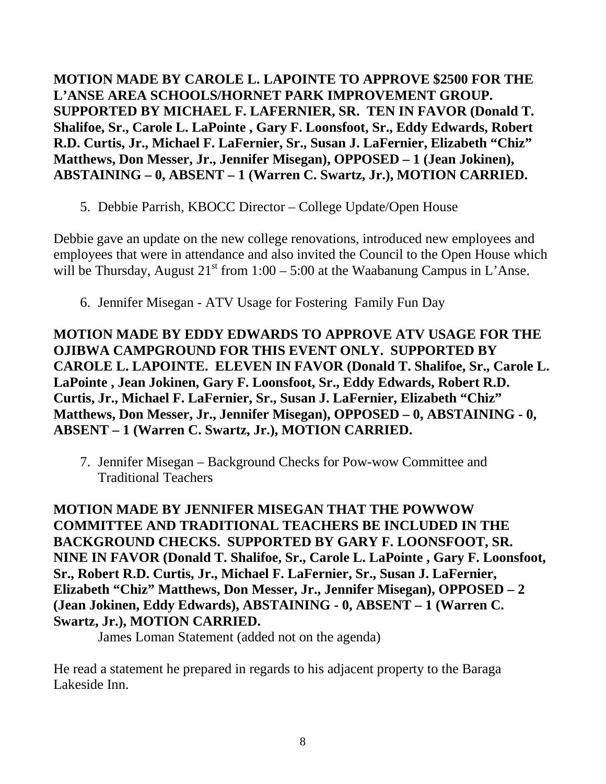**MOTION MADE BY CAROLE L. LAPOINTE TO APPROVE \$2500 FOR THE L'ANSE AREA SCHOOLS/HORNET PARK IMPROVEMENT GROUP. SUPPORTED BY MICHAEL F. LAFERNIER, SR. TEN IN FAVOR (Donald T. Shalifoe, Sr., Carole L. LaPointe , Gary F. Loonsfoot, Sr., Eddy Edwards, Robert R.D. Curtis, Jr., Michael F. LaFernier, Sr., Susan J. LaFernier, Elizabeth "Chiz" Matthews, Don Messer, Jr., Jennifer Misegan), OPPOSED – 1 (Jean Jokinen), ABSTAINING – 0, ABSENT – 1 (Warren C. Swartz, Jr.), MOTION CARRIED.**

5. Debbie Parrish, KBOCC Director – College Update/Open House

Debbie gave an update on the new college renovations, introduced new employees and employees that were in attendance and also invited the Council to the Open House which will be Thursday, August  $21<sup>st</sup>$  from  $1:00 - 5:00$  at the Waabanung Campus in L'Anse.

6. Jennifer Misegan - ATV Usage for Fostering Family Fun Day

**MOTION MADE BY EDDY EDWARDS TO APPROVE ATV USAGE FOR THE OJIBWA CAMPGROUND FOR THIS EVENT ONLY. SUPPORTED BY CAROLE L. LAPOINTE. ELEVEN IN FAVOR (Donald T. Shalifoe, Sr., Carole L. LaPointe , Jean Jokinen, Gary F. Loonsfoot, Sr., Eddy Edwards, Robert R.D. Curtis, Jr., Michael F. LaFernier, Sr., Susan J. LaFernier, Elizabeth "Chiz" Matthews, Don Messer, Jr., Jennifer Misegan), OPPOSED – 0, ABSTAINING - 0, ABSENT – 1 (Warren C. Swartz, Jr.), MOTION CARRIED.**

7. Jennifer Misegan – Background Checks for Pow-wow Committee and Traditional Teachers

**MOTION MADE BY JENNIFER MISEGAN THAT THE POWWOW COMMITTEE AND TRADITIONAL TEACHERS BE INCLUDED IN THE BACKGROUND CHECKS. SUPPORTED BY GARY F. LOONSFOOT, SR. NINE IN FAVOR (Donald T. Shalifoe, Sr., Carole L. LaPointe , Gary F. Loonsfoot, Sr., Robert R.D. Curtis, Jr., Michael F. LaFernier, Sr., Susan J. LaFernier, Elizabeth "Chiz" Matthews, Don Messer, Jr., Jennifer Misegan), OPPOSED – 2 (Jean Jokinen, Eddy Edwards), ABSTAINING - 0, ABSENT – 1 (Warren C. Swartz, Jr.), MOTION CARRIED.**

James Loman Statement (added not on the agenda)

He read a statement he prepared in regards to his adjacent property to the Baraga Lakeside Inn.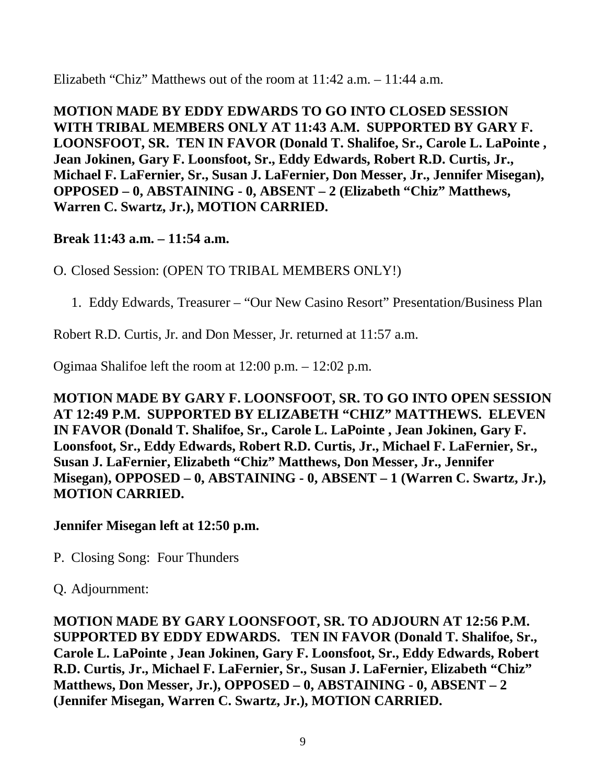Elizabeth "Chiz" Matthews out of the room at 11:42 a.m. – 11:44 a.m.

**MOTION MADE BY EDDY EDWARDS TO GO INTO CLOSED SESSION WITH TRIBAL MEMBERS ONLY AT 11:43 A.M. SUPPORTED BY GARY F. LOONSFOOT, SR. TEN IN FAVOR (Donald T. Shalifoe, Sr., Carole L. LaPointe , Jean Jokinen, Gary F. Loonsfoot, Sr., Eddy Edwards, Robert R.D. Curtis, Jr., Michael F. LaFernier, Sr., Susan J. LaFernier, Don Messer, Jr., Jennifer Misegan), OPPOSED – 0, ABSTAINING - 0, ABSENT – 2 (Elizabeth "Chiz" Matthews, Warren C. Swartz, Jr.), MOTION CARRIED.**

## **Break 11:43 a.m. – 11:54 a.m.**

O. Closed Session: (OPEN TO TRIBAL MEMBERS ONLY!)

1. Eddy Edwards, Treasurer – "Our New Casino Resort" Presentation/Business Plan

Robert R.D. Curtis, Jr. and Don Messer, Jr. returned at 11:57 a.m.

Ogimaa Shalifoe left the room at 12:00 p.m. – 12:02 p.m.

**MOTION MADE BY GARY F. LOONSFOOT, SR. TO GO INTO OPEN SESSION AT 12:49 P.M. SUPPORTED BY ELIZABETH "CHIZ" MATTHEWS. ELEVEN IN FAVOR (Donald T. Shalifoe, Sr., Carole L. LaPointe , Jean Jokinen, Gary F. Loonsfoot, Sr., Eddy Edwards, Robert R.D. Curtis, Jr., Michael F. LaFernier, Sr., Susan J. LaFernier, Elizabeth "Chiz" Matthews, Don Messer, Jr., Jennifer Misegan), OPPOSED – 0, ABSTAINING - 0, ABSENT – 1 (Warren C. Swartz, Jr.), MOTION CARRIED.**

#### **Jennifer Misegan left at 12:50 p.m.**

P. Closing Song: Four Thunders

Q. Adjournment:

**MOTION MADE BY GARY LOONSFOOT, SR. TO ADJOURN AT 12:56 P.M. SUPPORTED BY EDDY EDWARDS. TEN IN FAVOR (Donald T. Shalifoe, Sr., Carole L. LaPointe , Jean Jokinen, Gary F. Loonsfoot, Sr., Eddy Edwards, Robert R.D. Curtis, Jr., Michael F. LaFernier, Sr., Susan J. LaFernier, Elizabeth "Chiz" Matthews, Don Messer, Jr.), OPPOSED – 0, ABSTAINING - 0, ABSENT – 2 (Jennifer Misegan, Warren C. Swartz, Jr.), MOTION CARRIED.**